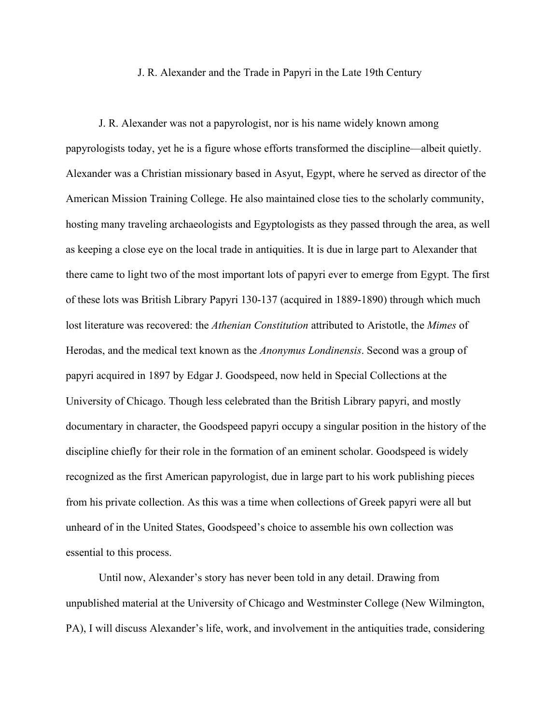## J. R. Alexander and the Trade in Papyri in the Late 19th Century

J. R. Alexander was not a papyrologist, nor is his name widely known among papyrologists today, yet he is a figure whose efforts transformed the discipline—albeit quietly. Alexander was a Christian missionary based in Asyut, Egypt, where he served as director of the American Mission Training College. He also maintained close ties to the scholarly community, hosting many traveling archaeologists and Egyptologists as they passed through the area, as well as keeping a close eye on the local trade in antiquities. It is due in large part to Alexander that there came to light two of the most important lots of papyri ever to emerge from Egypt. The first of these lots was British Library Papyri 130-137 (acquired in 1889-1890) through which much lost literature was recovered: the *Athenian Constitution* attributed to Aristotle, the *Mimes* of Herodas, and the medical text known as the *Anonymus Londinensis*. Second was a group of papyri acquired in 1897 by Edgar J. Goodspeed, now held in Special Collections at the University of Chicago. Though less celebrated than the British Library papyri, and mostly documentary in character, the Goodspeed papyri occupy a singular position in the history of the discipline chiefly for their role in the formation of an eminent scholar. Goodspeed is widely recognized as the first American papyrologist, due in large part to his work publishing pieces from his private collection. As this was a time when collections of Greek papyri were all but unheard of in the United States, Goodspeed's choice to assemble his own collection was essential to this process.

Until now, Alexander's story has never been told in any detail. Drawing from unpublished material at the University of Chicago and Westminster College (New Wilmington, PA), I will discuss Alexander's life, work, and involvement in the antiquities trade, considering